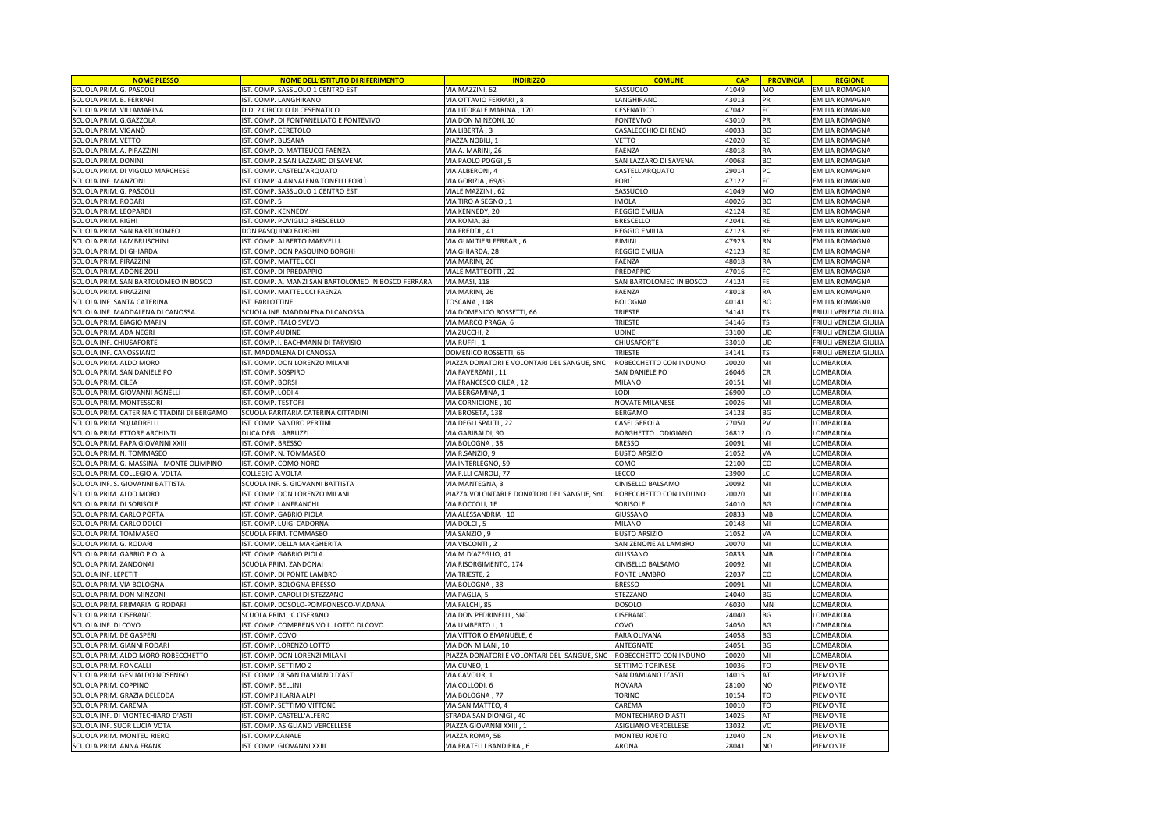| <b>NOME PLESSO</b>                         | <b>NOME DELL'ISTITUTO DI RIFERIMENTO</b>            | <b>INDIRIZZO</b>                            | <b>COMUNE</b>            | <b>CAP</b> | <b>PROVINCIA</b> | <b>REGIONE</b>                          |
|--------------------------------------------|-----------------------------------------------------|---------------------------------------------|--------------------------|------------|------------------|-----------------------------------------|
| SCUOLA PRIM. G. PASCOLI                    | IST. COMP. SASSUOLO 1 CENTRO EST                    | VIA MAZZINI, 62                             | SASSUOLO                 | 41049      | MO               | <b>EMILIA ROMAGNA</b>                   |
| SCUOLA PRIM. B. FERRARI                    | IST. COMP. LANGHIRANO                               | VIA OTTAVIO FERRARI, 8                      | LANGHIRANO               | 43013      | PR               | EMILIA ROMAGNA                          |
| CUOLA PRIM. VILLAMARINA                    | D.D. 2 CIRCOLO DI CESENATICO                        | VIA LITORALE MARINA, 170                    | CESENATICO               | 47042      | FC               | EMILIA ROMAGNA                          |
| CUOLA PRIM. G.GAZZOLA                      | IST. COMP. DI FONTANELLATO E FONTEVIVO              | VIA DON MINZONI, 10                         | <b>FONTEVIVO</b>         | 43010      | PR               | EMILIA ROMAGNA                          |
| SCUOLA PRIM. VIGANÒ                        | IST. COMP. CERETOLO                                 | VIA LIBERTÀ , 3                             | CASALECCHIO DI RENO      | 40033      | <b>BO</b>        | <b>EMILIA ROMAGNA</b>                   |
| SCUOLA PRIM. VETTO                         | IST. COMP. BUSANA                                   | PIAZZA NOBILI, 1                            | VETTO                    | 42020      | <b>RE</b>        | EMILIA ROMAGNA                          |
| SCUOLA PRIM. A. PIRAZZINI                  | IST. COMP. D. MATTEUCCI FAENZA                      | VIA A. MARINI, 26                           | FAENZA                   | 48018      | RA               | EMILIA ROMAGNA                          |
| CUOLA PRIM. DONINI                         | IST. COMP. 2 SAN LAZZARO DI SAVENA                  | VIA PAOLO POGGI, 5                          | SAN LAZZARO DI SAVENA    | 40068      | ВO               | EMILIA ROMAGNA                          |
| SCUOLA PRIM. DI VIGOLO MARCHESE            | IST. COMP. CASTELL'ARQUATO                          | VIA ALBERONI, 4                             | CASTELL'ARQUATO          | 29014      | PC               | <b>EMILIA ROMAGNA</b>                   |
| SCUOLA INF. MANZONI                        | IST. COMP. 4 ANNALENA TONELLI FORLI                 | VIA GORIZIA, 69/G                           | FORLÌ                    | 47122      | FC               | <b>EMILIA ROMAGNA</b>                   |
| SCUOLA PRIM. G. PASCOLI                    | IST. COMP. SASSUOLO 1 CENTRO EST                    | VIALE MAZZINI, 62                           | SASSUOLO                 | 41049      | <b>MO</b>        | EMILIA ROMAGNA                          |
| SCUOLA PRIM. RODARI                        | IST. COMP. 5                                        | VIA TIRO A SEGNO, 1                         | IMOLA                    | 40026      | <b>BO</b>        |                                         |
| SCUOLA PRIM. LEOPARDI                      | IST. COMP. KENNEDY                                  | VIA KENNEDY, 20                             | <b>REGGIO EMILIA</b>     | 42124      | RE               | EMILIA ROMAGNA<br><b>EMILIA ROMAGNA</b> |
|                                            |                                                     |                                             |                          |            |                  |                                         |
| SCUOLA PRIM. RIGHI                         | IST. COMP. POVIGLIO BRESCELLO                       | VIA ROMA, 33                                | <b>BRESCELLO</b>         | 42041      | <b>RE</b>        | <b>EMILIA ROMAGNA</b>                   |
| SCUOLA PRIM. SAN BARTOLOMEO                | DON PASQUINO BORGHI                                 | VIA FREDDI, 41                              | <b>REGGIO EMILIA</b>     | 42123      | <b>RE</b>        | EMILIA ROMAGNA                          |
| SCUOLA PRIM. LAMBRUSCHINI                  | IST. COMP. ALBERTO MARVELLI                         | VIA GUALTIERI FERRARI, 6                    | RIMINI                   | 47923      | <b>RN</b>        | <b>EMILIA ROMAGNA</b>                   |
| <b>CUOLA PRIM. DI GHIARDA</b>              | IST. COMP. DON PASQUINO BORGHI                      | VIA GHIARDA, 28                             | REGGIO EMILIA            | 42123      | <b>RE</b>        | EMILIA ROMAGNA                          |
| SCUOLA PRIM. PIRAZZINI                     | IST. COMP. MATTEUCCI                                | VIA MARINI, 26                              | <b>FAENZA</b>            | 48018      | RA               | <b>EMILIA ROMAGNA</b>                   |
| SCUOLA PRIM. ADONE ZOL                     | IST. COMP. DI PREDAPPIO                             | VIALE MATTEOTTI, 22                         | PREDAPPIO                | 47016      | FC               | <b>EMILIA ROMAGNA</b>                   |
| <b>CUOLA PRIM. SAN BARTOLOMEO IN BOSCO</b> | IST. COMP. A. MANZI SAN BARTOLOMEO IN BOSCO FERRARA | VIA MASI, 118                               | SAN BARTOLOMEO IN BOSCO  | 44124      | FE               | EMILIA ROMAGNA                          |
| <b>CUOLA PRIM. PIRAZZINI</b>               | <b>IST. COMP. MATTEUCCI FAENZA</b>                  | VIA MARINI, 26                              | FAENZA                   | 48018      | RA               | EMILIA ROMAGNA                          |
| <b>CUOLA INF. SANTA CATERINA</b>           | IST. FARLOTTINE                                     | TOSCANA, 148                                | <b>BOLOGNA</b>           | 40141      | BO               | <b>EMILIA ROMAGNA</b>                   |
| SCUOLA INF. MADDALENA DI CANOSSA           | SCUOLA INF. MADDALENA DI CANOSSA                    | VIA DOMENICO ROSSETTI, 66                   | TRIESTE                  | 34141      | TS.              | FRIULI VENEZIA GIULIA                   |
| SCUOLA PRIM. BIAGIO MARIN                  | IST. COMP. ITALO SVEVO                              | VIA MARCO PRAGA, 6                          | TRIESTE                  | 34146      | <b>TS</b>        | FRIULI VENEZIA GIULIA                   |
| CUOLA PRIM. ADA NEGRI                      | IST. COMP.4UDINE                                    | VIA ZUCCHI, 2                               | UDINE                    | 33100      | UD               | FRIULI VENEZIA GIULIA                   |
| SCUOLA INF. CHIUSAFORTE                    | IST. COMP. I. BACHMANN DI TARVISIO                  | VIA RUFFI, 1                                | CHIUSAFORTE              | 33010      | UD               | FRIULI VENEZIA GIULIA                   |
| SCUOLA INF. CANOSSIANO                     | IST. MADDALENA DI CANOSSA                           | DOMENICO ROSSETTI, 66                       | TRIESTE                  | 34141      | TS               | FRIULI VENEZIA GIULIA                   |
| SCUOLA PRIM. ALDO MORO                     | IST. COMP. DON LORENZO MILANI                       | PIAZZA DONATORI E VOLONTARI DEL SANGUE, SNC | ROBECCHETTO CON INDUNO   | 20020      | MI               | LOMBARDIA                               |
| SCUOLA PRIM. SAN DANIELE PO                | IST. COMP. SOSPIRO                                  | VIA FAVERZANI, 11                           | SAN DANIELE PO           | 26046      | CR               | LOMBARDIA                               |
| SCUOLA PRIM. CILEA                         | IST. COMP. BORSI                                    | VIA FRANCESCO CILEA, 12                     | MILANO                   | 20151      | MI               | LOMBARDIA                               |
| SCUOLA PRIM. GIOVANNI AGNELLI              | IST. COMP. LODI 4                                   | VIA BERGAMINA, 1                            | <b>LODI</b>              | 26900      | LO               | LOMBARDIA                               |
| SCUOLA PRIM. MONTESSORI                    | IST. COMP. TESTORI                                  | VIA CORNICIONE, 10                          | NOVATE MILANESE          | 20026      | MI               | LOMBARDIA                               |
| SCUOLA PRIM. CATERINA CITTADINI DI BERGAMO | SCUOLA PARITARIA CATERINA CITTADINI                 | VIA BROSETA, 138                            | BERGAMO                  | 24128      | BG               | LOMBARDIA                               |
| SCUOLA PRIM. SQUADRELLI                    | IST. COMP. SANDRO PERTINI                           | VIA DEGLI SPALTI, 22                        | CASEI GEROLA             | 27050      | PV               | LOMBARDIA                               |
| SCUOLA PRIM. ETTORE ARCHINTI               | DUCA DEGLI ABRUZZI                                  | VIA GARIBALDI, 90                           | BORGHETTO LODIGIANO      | 26812      | LO               | LOMBARDIA                               |
| SCUOLA PRIM. PAPA GIOVANNI XXIII           | IST. COMP. BRESSO                                   | VIA BOLOGNA, 38                             | <b>BRESSO</b>            | 20091      | MI               | LOMBARDIA                               |
| <b>CUOLA PRIM. N. TOMMASEO</b>             | IST. COMP. N. TOMMASEO                              | VIA R.SANZIO, 9                             | <b>BUSTO ARSIZIO</b>     | 21052      | VA               | LOMBARDIA                               |
|                                            |                                                     |                                             |                          | 22100      | CO               |                                         |
| CUOLA PRIM. G. MASSINA - MONTE OLIMPINO    | ST. COMP. COMO NORD                                 | VIA INTERLEGNO, 59                          | сомо                     |            |                  | <b>OMBARDIA</b>                         |
| SCUOLA PRIM. COLLEGIO A. VOLTA             | COLLEGIO A.VOLTA                                    | VIA F.LLI CAIROLI, 77                       | LECCO                    | 23900      | LC               | LOMBARDIA                               |
| SCUOLA INF. S. GIOVANNI BATTISTA           | SCUOLA INF. S. GIOVANNI BATTISTA                    | VIA MANTEGNA, 3                             | CINISELLO BALSAMO        | 20092      | MI               | LOMBARDIA                               |
| SCUOLA PRIM. ALDO MORO                     | IST. COMP. DON LORENZO MILANI                       | PIAZZA VOLONTARI E DONATORI DEL SANGUE, SnC | ROBECCHETTO CON INDUNO   | 20020      | MI               | LOMBARDIA                               |
| SCUOLA PRIM. DI SORISOLE                   | IST. COMP. LANFRANCHI                               | VIA ROCCOLI, 1E                             | SORISOLE                 | 24010      | BG               | LOMBARDIA                               |
| SCUOLA PRIM. CARLO PORTA                   | IST. COMP. GABRIO PIOLA                             | VIA ALESSANDRIA, 10                         | GIUSSANO                 | 20833      | MB               | LOMBARDIA                               |
| SCUOLA PRIM. CARLO DOLCI                   | IST. COMP. LUIGI CADORNA                            | VIA DOLCI, 5                                | MILANO                   | 20148      | MI               | LOMBARDIA                               |
| SCUOLA PRIM. TOMMASEO                      | SCUOLA PRIM. TOMMASEO                               | VIA SANZIO, 9                               | <b>BUSTO ARSIZIO</b>     | 21052      | VA               | LOMBARDIA                               |
| SCUOLA PRIM. G. RODARI                     | IST. COMP. DELLA MARGHERITA                         | VIA VISCONTI, 2                             | SAN ZENONE AL LAMBRO     | 20070      | MI               | LOMBARDIA                               |
| SCUOLA PRIM. GABRIO PIOLA                  | IST. COMP. GABRIO PIOLA                             | VIA M.D'AZEGLIO, 41                         | GIUSSANO                 | 20833      | MB               | LOMBARDIA                               |
| SCUOLA PRIM. ZANDONAI                      | SCUOLA PRIM. ZANDONAI                               | VIA RISORGIMENTO, 174                       | <b>CINISELLO BALSAMO</b> | 20092      | MI               | LOMBARDIA                               |
| SCUOLA INF. LEPETIT                        | IST. COMP. DI PONTE LAMBRO                          | VIA TRIESTE, 2                              | PONTE LAMBRO             | 22037      | CO               | LOMBARDIA                               |
| SCUOLA PRIM. VIA BOLOGNA                   | IST. COMP. BOLOGNA BRESSO                           | VIA BOLOGNA, 38                             | <b>BRESSO</b>            | 20091      | MI               | LOMBARDIA                               |
| <b>CUOLA PRIM. DON MINZONI</b>             | IST. COMP. CAROLI DI STEZZANO                       | VIA PAGLIA, 5                               | STEZZANO                 | 24040      | ΒG               | LOMBARDIA                               |
| SCUOLA PRIM. PRIMARIA G RODARI             | IST. COMP. DOSOLO-POMPONESCO-VIADANA                | VIA FALCHI, 85                              | <b>DOSOLO</b>            | 46030      | MN               | LOMBARDIA                               |
| SCUOLA PRIM. CISERANO                      | SCUOLA PRIM. IC CISERANO                            | VIA DON PEDRINELLI, SNC                     | CISERANO                 | 24040      | BG               | LOMBARDIA                               |
| CUOLA INF. DI COVO                         | IST. COMP. COMPRENSIVO L. LOTTO DI COVO             | VIA UMBERTO I, 1                            | COVO                     | 24050      | BG               | <b>OMBARDIA</b>                         |
| <b>CUOLA PRIM. DE GASPERI</b>              | IST. COMP. COVO                                     | VIA VITTORIO EMANUELE, 6                    | FARA OLIVANA             | 24058      | ΒG               | OMBARDIA                                |
| SCUOLA PRIM. GIANNI RODARI                 | IST. COMP. LORENZO LOTTO                            | VIA DON MILANI, 10                          | ANTEGNATE                | 24051      | BG               | LOMBARDIA                               |
| SCUOLA PRIM. ALDO MORO ROBECCHETTO         | IST. COMP. DON LORENZI MILANI                       | PIAZZA DONATORI E VOLONTARI DEL SANGUE, SNC | ROBECCHETTO CON INDUNO   | 20020      | MI               | LOMBARDIA                               |
| SCUOLA PRIM. RONCALLI                      | IST. COMP. SETTIMO 2                                | VIA CUNEO, 1                                | SETTIMO TORINESE         | 10036      | TO               | PIEMONTE                                |
| SCUOLA PRIM. GESUALDO NOSENGO              | IST. COMP. DI SAN DAMIANO D'ASTI                    | VIA CAVOUR, 1                               | SAN DAMIANO D'ASTI       | 14015      | AT               | PIEMONTE                                |
| SCUOLA PRIM. COPPINO                       | IST. COMP. BELLINI                                  | VIA COLLODI, 6                              | <b>NOVARA</b>            | 28100      | NO               | PIEMONTE                                |
| SCUOLA PRIM. GRAZIA DELEDDA                | IST. COMP.I ILARIA ALPI                             | VIA BOLOGNA, 77                             | <b>TORINO</b>            | 10154      | TO               | PIEMONTE                                |
| SCUOLA PRIM. CAREMA                        | IST. COMP. SETTIMO VITTONE                          | VIA SAN MATTEO, 4                           | CAREMA                   | 10010      | TO               | PIEMONTE                                |
| SCUOLA INF. DI MONTECHIARO D'ASTI          | IST. COMP. CASTELL'ALFERO                           | STRADA SAN DIONIGI, 40                      | MONTECHIARO D'ASTI       | 14025      | AT               | PIEMONTE                                |
| SCUOLA INF. SUOR LUCIA VOTA                | IST. COMP. ASIGLIANO VERCELLESE                     | PIAZZA GIOVANNI XXIII, 1                    | ASIGLIANO VERCELLESE     | 13032      | VC               | PIEMONTE                                |
| SCUOLA PRIM. MONTEU RIERO                  | IST. COMP.CANALE                                    | PIAZZA ROMA, 5B                             | MONTEU ROETO             | 12040      | CN               | PIEMONTE                                |
| SCUOLA PRIM. ANNA FRANK                    | IST. COMP. GIOVANNI XXIII                           | VIA FRATELLI BANDIERA, 6                    | ARONA                    | 28041      | NO               | PIEMONTE                                |